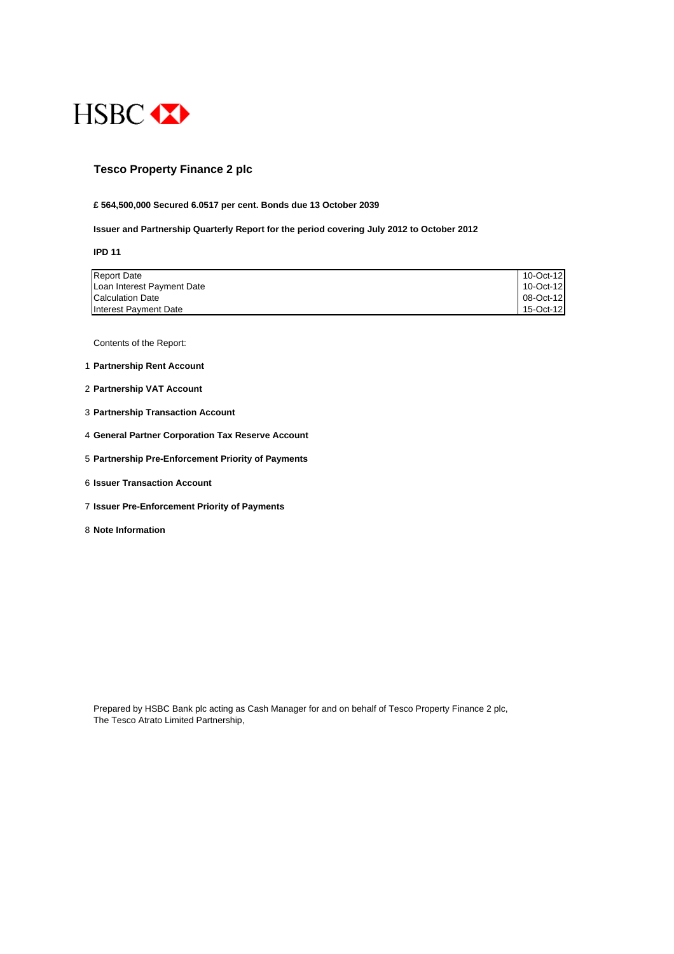

#### **Tesco Property Finance 2 plc**

#### **£ 564,500,000 Secured 6.0517 per cent. Bonds due 13 October 2039**

#### **Issuer and Partnership Quarterly Report for the period covering July 2012 to October 2012**

**IPD 11**

| Loan Interest Payment Date | 10-Oct-12 |
|----------------------------|-----------|
| <b>Calculation Date</b>    | 08-Oct-12 |
| Interest Payment Date      | 15-Oct-12 |

Contents of the Report:

- 1 **Partnership Rent Account**
- 2 **Partnership VAT Account**
- 3 **Partnership Transaction Account**
- 4 **General Partner Corporation Tax Reserve Account**
- 5 **Partnership Pre-Enforcement Priority of Payments**
- 6 **Issuer Transaction Account**
- 7 **Issuer Pre-Enforcement Priority of Payments**
- 8 **Note Information**

Prepared by HSBC Bank plc acting as Cash Manager for and on behalf of Tesco Property Finance 2 plc, The Tesco Atrato Limited Partnership,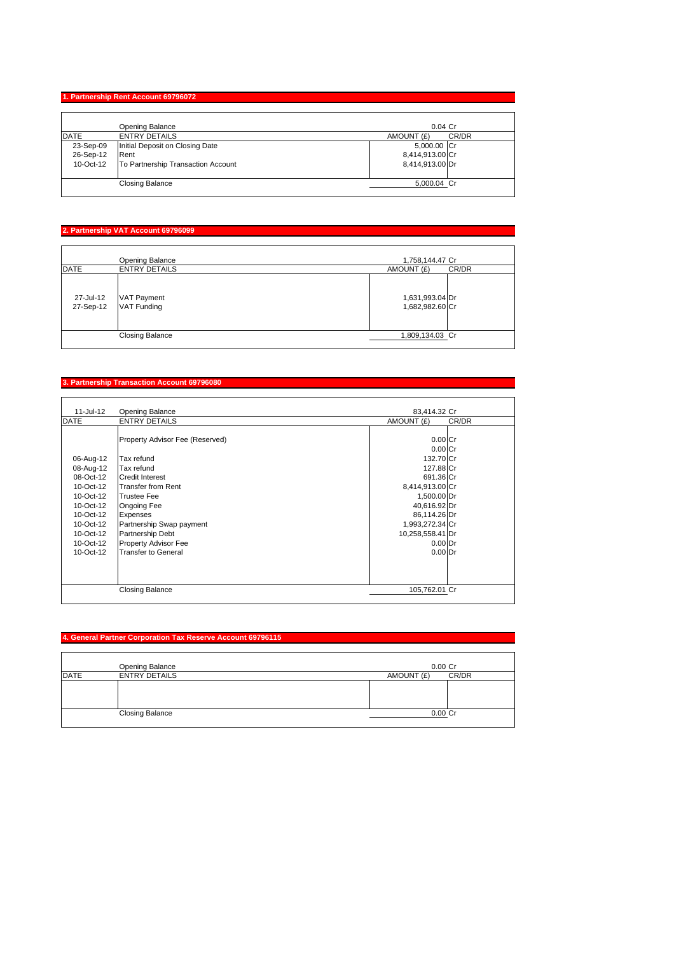# **1. Partnership Rent Account 69796072**

|             | Opening Balance                    | $0.04$ Cr           |
|-------------|------------------------------------|---------------------|
| <b>DATE</b> | <b>ENTRY DETAILS</b>               | CR/DR<br>AMOUNT (£) |
| 23-Sep-09   | Initial Deposit on Closing Date    | 5,000.00 Cr         |
| 26-Sep-12   | Rent                               | 8,414,913.00 Cr     |
| 10-Oct-12   | To Partnership Transaction Account | 8,414,913.00 Dr     |
|             | <b>Closing Balance</b>             | 5,000.04 Cr         |

# **2. Partnership VAT Account 69796099**

|                        | Opening Balance                          | 1,758,144.47 Cr                    |
|------------------------|------------------------------------------|------------------------------------|
| <b>DATE</b>            | <b>ENTRY DETAILS</b>                     | AMOUNT (£)<br>CR/DR                |
| 27-Jul-12<br>27-Sep-12 | <b>VAT Payment</b><br><b>VAT Funding</b> | 1,631,993.04 Dr<br>1,682,982.60 Cr |
|                        | <b>Closing Balance</b>                   | 1,809,134.03 Cr                    |

# **3. Partnership Transaction Account 69796080**

| 11-Jul-12   | <b>Opening Balance</b>          | 83,414.32 Cr           |
|-------------|---------------------------------|------------------------|
| <b>DATE</b> | <b>ENTRY DETAILS</b>            | AMOUNT (£)<br>CR/DR    |
|             | Property Advisor Fee (Reserved) | $0.00C$ r<br>$0.00$ Cr |
| 06-Aug-12   | Tax refund                      | 132.70 Cr              |
| 08-Aug-12   | Tax refund                      | 127.88 Cr              |
| 08-Oct-12   | <b>Credit Interest</b>          | 691.36 Cr              |
| 10-Oct-12   | Transfer from Rent              | 8,414,913.00 Cr        |
| 10-Oct-12   | <b>Trustee Fee</b>              | 1,500.00 Dr            |
| 10-Oct-12   | Ongoing Fee                     | 40,616.92 Dr           |
| 10-Oct-12   | <b>Expenses</b>                 | 86,114.26 Dr           |
| 10-Oct-12   | Partnership Swap payment        | 1,993,272.34 Cr        |
| 10-Oct-12   | <b>Partnership Debt</b>         | 10,258,558.41 Dr       |
| 10-Oct-12   | <b>Property Advisor Fee</b>     | $0.00$ Dr              |
| $10-Ort-12$ | <b>Transfer to General</b>      | $0.00$ Dr              |
|             |                                 |                        |
|             | <b>Closing Balance</b>          | 105,762.01 Cr          |

#### **4. General Partner Corporation Tax Reserve Account 69796115**

|             | Opening Balance        | $0.00$ Cr  |       |
|-------------|------------------------|------------|-------|
| <b>DATE</b> | <b>ENTRY DETAILS</b>   | AMOUNT (£) | CR/DR |
|             |                        |            |       |
|             |                        |            |       |
|             |                        |            |       |
|             | <b>Closing Balance</b> | 0.00 Cr    |       |
|             |                        |            |       |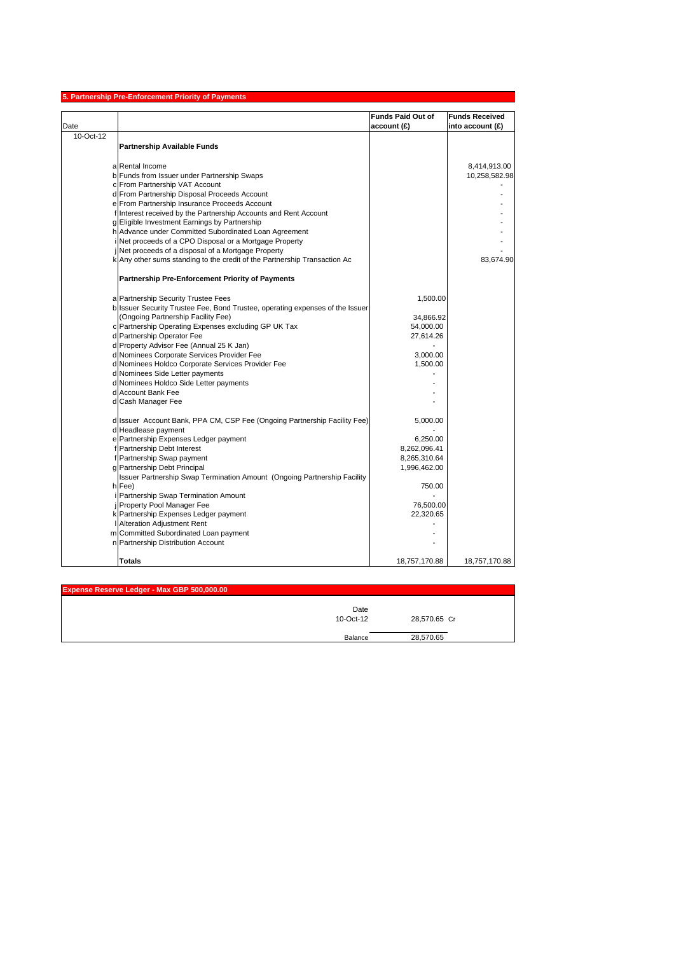|           | 5. Partnership Pre-Enforcement Priority of Payments                           |                          |                       |
|-----------|-------------------------------------------------------------------------------|--------------------------|-----------------------|
|           |                                                                               | <b>Funds Paid Out of</b> | <b>Funds Received</b> |
| Date      |                                                                               | account (£)              | into account (£)      |
| 10-Oct-12 |                                                                               |                          |                       |
|           | <b>Partnership Available Funds</b>                                            |                          |                       |
|           |                                                                               |                          |                       |
|           | a Rental Income                                                               |                          | 8,414,913.00          |
|           | b Funds from Issuer under Partnership Swaps                                   |                          | 10,258,582.98         |
|           | c From Partnership VAT Account                                                |                          |                       |
|           | d From Partnership Disposal Proceeds Account                                  |                          |                       |
|           | e From Partnership Insurance Proceeds Account                                 |                          |                       |
|           | f Interest received by the Partnership Accounts and Rent Account              |                          |                       |
|           | g Eligible Investment Earnings by Partnership                                 |                          |                       |
|           | h Advance under Committed Subordinated Loan Agreement                         |                          |                       |
|           | Net proceeds of a CPO Disposal or a Mortgage Property                         |                          |                       |
|           | Net proceeds of a disposal of a Mortgage Property                             |                          |                       |
|           | k Any other sums standing to the credit of the Partnership Transaction Ac     |                          | 83,674.90             |
|           | <b>Partnership Pre-Enforcement Priority of Payments</b>                       |                          |                       |
|           | a Partnership Security Trustee Fees                                           | 1,500.00                 |                       |
|           | b Issuer Security Trustee Fee, Bond Trustee, operating expenses of the Issuer |                          |                       |
|           | (Ongoing Partnership Facility Fee)                                            | 34,866.92                |                       |
|           | c Partnership Operating Expenses excluding GP UK Tax                          | 54,000.00                |                       |
|           | d Partnership Operator Fee                                                    | 27,614.26                |                       |
|           | d Property Advisor Fee (Annual 25 K Jan)                                      |                          |                       |
|           | d Nominees Corporate Services Provider Fee                                    | 3,000.00                 |                       |
|           | d Nominees Holdco Corporate Services Provider Fee                             | 1,500.00                 |                       |
|           | d Nominees Side Letter payments                                               |                          |                       |
|           | d Nominees Holdco Side Letter payments                                        |                          |                       |
|           | d Account Bank Fee                                                            |                          |                       |
|           | d Cash Manager Fee                                                            |                          |                       |
|           |                                                                               |                          |                       |
|           | d Issuer Account Bank, PPA CM, CSP Fee (Ongoing Partnership Facility Fee)     | 5,000.00                 |                       |
|           | d Headlease payment                                                           |                          |                       |
|           | e Partnership Expenses Ledger payment                                         | 6,250.00                 |                       |
|           | f Partnership Debt Interest                                                   | 8,262,096.41             |                       |
|           | f Partnership Swap payment                                                    | 8,265,310.64             |                       |
|           | g Partnership Debt Principal                                                  | 1,996,462.00             |                       |
|           | Issuer Partnership Swap Termination Amount (Ongoing Partnership Facility      |                          |                       |
|           | h Fee)                                                                        | 750.00                   |                       |
|           | Partnership Swap Termination Amount                                           |                          |                       |
|           | Property Pool Manager Fee<br>k Partnership Expenses Ledger payment            | 76,500.00<br>22,320.65   |                       |
|           | Alteration Adjustment Rent                                                    |                          |                       |
|           | m Committed Subordinated Loan payment                                         |                          |                       |
|           | n Partnership Distribution Account                                            |                          |                       |
|           |                                                                               |                          |                       |
|           | <b>Totals</b>                                                                 | 18,757,170.88            | 18,757,170.88         |

| Expense Reserve Ledger - Max GBP 500,000.00 |                   |              |  |
|---------------------------------------------|-------------------|--------------|--|
|                                             | Date<br>10-Oct-12 | 28,570.65 Cr |  |
|                                             | Balance           | 28,570.65    |  |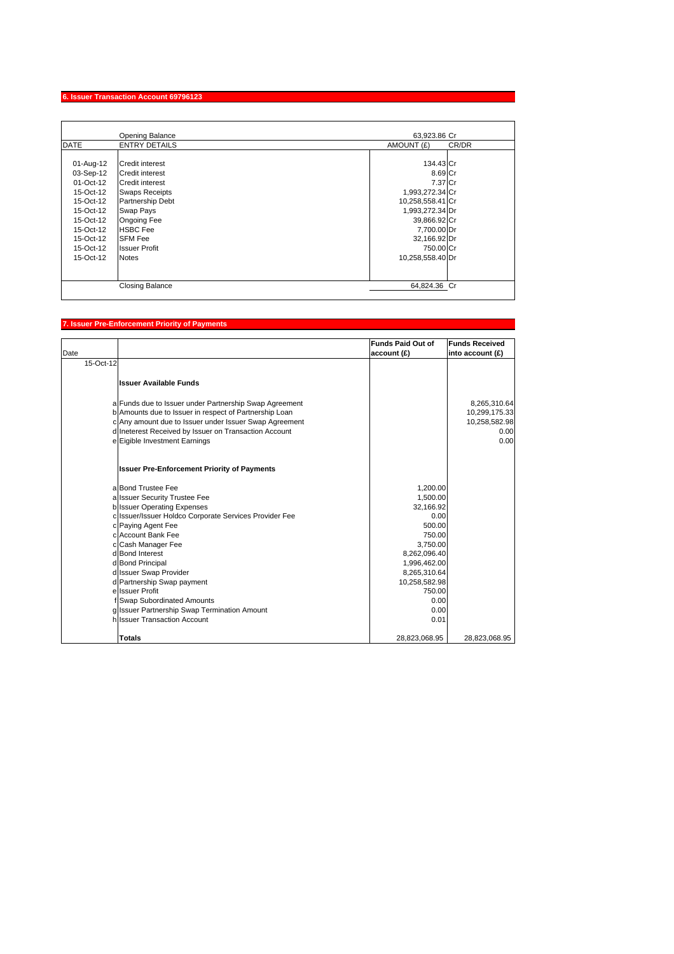# **6. Issuer Transaction Account 69796123**

|             | Opening Balance        | 63,923.86 Cr        |
|-------------|------------------------|---------------------|
| <b>DATE</b> | <b>ENTRY DETAILS</b>   | AMOUNT (£)<br>CR/DR |
|             |                        |                     |
| 01-Aug-12   | <b>Credit interest</b> | 134.43 Cr           |
| 03-Sep-12   | <b>Credit interest</b> | 8.69 Cr             |
| 01-Oct-12   | <b>Credit interest</b> | 7.37 Cr             |
| 15-Oct-12   | <b>Swaps Receipts</b>  | 1,993,272.34 Cr     |
| 15-Oct-12   | Partnership Debt       | 10,258,558.41 Cr    |
| 15-Oct-12   | Swap Pays              | 1,993,272.34 Dr     |
| $15-Ort-12$ | Ongoing Fee            | 39,866.92 Cr        |
| 15-Oct-12   | <b>HSBC Fee</b>        | 7,700.00 Dr         |
| 15-Oct-12   | <b>SFM Fee</b>         | 32,166.92 Dr        |
| $15-Ort-12$ | <b>Issuer Profit</b>   | 750.00 Cr           |
| 15-Oct-12   | <b>Notes</b>           | 10,258,558.40 Dr    |
|             |                        |                     |
|             |                        |                     |
|             | <b>Closing Balance</b> | 64,824.36 Cr        |

# **7. Issuer Pre-Enforcement Priority of Payments**

|           |                                                        | <b>Funds Paid Out of</b> | <b>Funds Received</b> |
|-----------|--------------------------------------------------------|--------------------------|-----------------------|
| Date      |                                                        | account (£)              | into account (£)      |
| 15-Oct-12 |                                                        |                          |                       |
|           | <b>Issuer Available Funds</b>                          |                          |                       |
|           | a Funds due to Issuer under Partnership Swap Agreement |                          | 8,265,310.64          |
|           | b Amounts due to Issuer in respect of Partnership Loan |                          | 10,299,175.33         |
|           | c Any amount due to Issuer under Issuer Swap Agreement |                          | 10,258,582.98         |
|           | d Ineterest Received by Issuer on Transaction Account  |                          | 0.00                  |
|           | e Eigible Investment Earnings                          |                          | 0.00                  |
|           |                                                        |                          |                       |
|           | <b>Issuer Pre-Enforcement Priority of Payments</b>     |                          |                       |
|           | a Bond Trustee Fee                                     | 1,200.00                 |                       |
|           | a Issuer Security Trustee Fee                          | 1,500.00                 |                       |
|           | <b>b</b> Issuer Operating Expenses                     | 32,166.92                |                       |
|           | c Issuer/Issuer Holdco Corporate Services Provider Fee | 0.00                     |                       |
|           | c Paying Agent Fee                                     | 500.00                   |                       |
|           | c Account Bank Fee                                     | 750.00                   |                       |
|           | c Cash Manager Fee                                     | 3,750.00                 |                       |
|           | d Bond Interest                                        | 8,262,096.40             |                       |
|           | d Bond Principal                                       | 1,996,462.00             |                       |
|           | d Issuer Swap Provider                                 | 8,265,310.64             |                       |
|           | d Partnership Swap payment                             | 10,258,582.98            |                       |
|           | e Issuer Profit                                        | 750.00                   |                       |
|           | f Swap Subordinated Amounts                            | 0.00                     |                       |
|           | g Issuer Partnership Swap Termination Amount           | 0.00                     |                       |
|           | hilssuer Transaction Account                           | 0.01                     |                       |
|           |                                                        |                          |                       |
|           | <b>Totals</b>                                          | 28,823,068.95            | 28,823,068.95         |